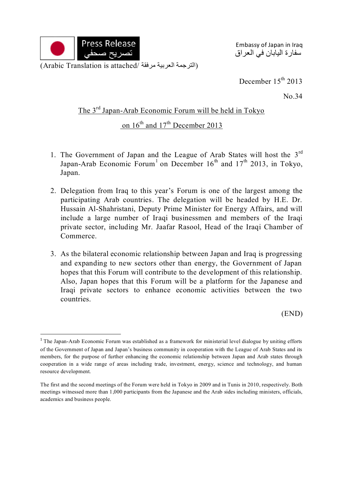

1

Embassy of Japan in Iraq سفارة اليابان في العراق

December 15<sup>th</sup> 2013

No.34

## The 3<sup>rd</sup> Japan-Arab Economic Forum will be held in Tokyo

## on  $16^{th}$  and  $17^{th}$  December 2013

- 1. The Government of Japan and the League of Arab States will host the  $3<sup>rd</sup>$ Japan-Arab Economic Forum<sup>1</sup> on December  $16<sup>th</sup>$  and  $17<sup>th</sup>$  2013, in Tokyo, Japan.
- 2. Delegation from Iraq to this year's Forum is one of the largest among the participating Arab countries. The delegation will be headed by H.E. Dr. Hussain Al-Shahristani, Deputy Prime Minister for Energy Affairs, and will include a large number of Iraqi businessmen and members of the Iraqi private sector, including Mr. Jaafar Rasool, Head of the Iraqi Chamber of Commerce.
- 3. As the bilateral economic relationship between Japan and Iraq is progressing and expanding to new sectors other than energy, the Government of Japan hopes that this Forum will contribute to the development of this relationship. Also, Japan hopes that this Forum will be a platform for the Japanese and Iraqi private sectors to enhance economic activities between the two countries.

(END)

<sup>&</sup>lt;sup>1</sup> The Japan-Arab Economic Forum was established as a framework for ministerial level dialogue by uniting efforts of the Government of Japan and Japan's business community in cooperation with the League of Arab States and its members, for the purpose of further enhancing the economic relationship between Japan and Arab states through cooperation in a wide range of areas including trade, investment, energy, science and technology, and human resource development.

The first and the second meetings of the Forum were held in Tokyo in 2009 and in Tunis in 2010, respectively. Both meetings witnessed more than 1,000 participants from the Japanese and the Arab sides including ministers, officials, academics and business people.